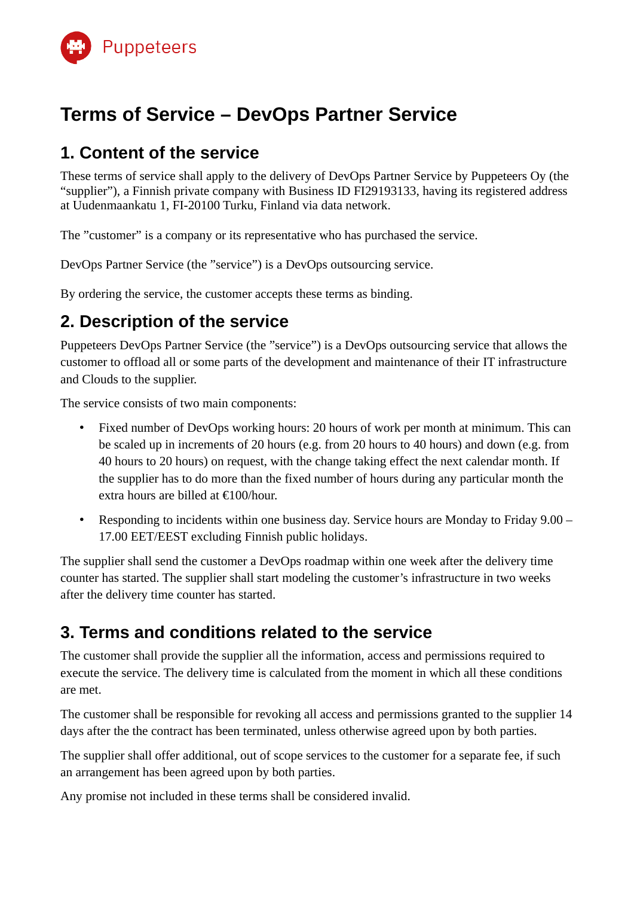

# **Terms of Service – DevOps Partner Service**

### **1. Content of the service**

These terms of service shall apply to the delivery of DevOps Partner Service by Puppeteers Oy (the "supplier"), a Finnish private company with Business ID FI29193133, having its registered address at Uudenmaankatu 1, FI-20100 Turku, Finland via data network.

The "customer" is a company or its representative who has purchased the service.

DevOps Partner Service (the "service") is a DevOps outsourcing service.

By ordering the service, the customer accepts these terms as binding.

## **2. Description of the service**

Puppeteers DevOps Partner Service (the "service") is a DevOps outsourcing service that allows the customer to offload all or some parts of the development and maintenance of their IT infrastructure and Clouds to the supplier.

The service consists of two main components:

- Fixed number of DevOps working hours: 20 hours of work per month at minimum. This can be scaled up in increments of 20 hours (e.g. from 20 hours to 40 hours) and down (e.g. from 40 hours to 20 hours) on request, with the change taking effect the next calendar month. If the supplier has to do more than the fixed number of hours during any particular month the extra hours are billed at €100/hour.
- Responding to incidents within one business day. Service hours are Monday to Friday 9.00 17.00 EET/EEST excluding Finnish public holidays.

The supplier shall send the customer a DevOps roadmap within one week after the delivery time counter has started. The supplier shall start modeling the customer's infrastructure in two weeks after the delivery time counter has started.

## **3. Terms and conditions related to the service**

The customer shall provide the supplier all the information, access and permissions required to execute the service. The delivery time is calculated from the moment in which all these conditions are met.

The customer shall be responsible for revoking all access and permissions granted to the supplier 14 days after the the contract has been terminated, unless otherwise agreed upon by both parties.

The supplier shall offer additional, out of scope services to the customer for a separate fee, if such an arrangement has been agreed upon by both parties.

Any promise not included in these terms shall be considered invalid.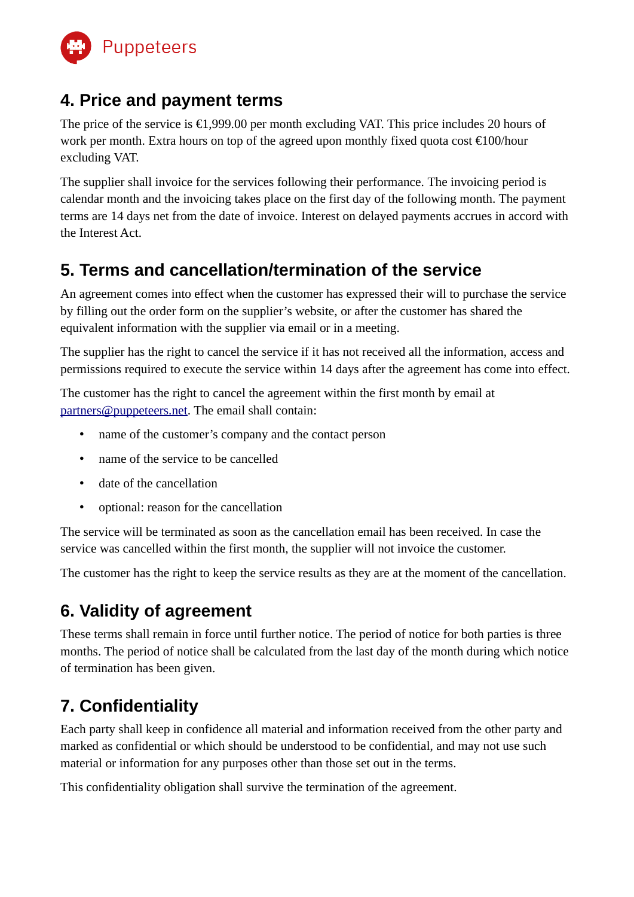

#### **4. Price and payment terms**

The price of the service is €1,999.00 per month excluding VAT. This price includes 20 hours of work per month. Extra hours on top of the agreed upon monthly fixed quota cost €100/hour excluding VAT.

The supplier shall invoice for the services following their performance. The invoicing period is calendar month and the invoicing takes place on the first day of the following month. The payment terms are 14 days net from the date of invoice. Interest on delayed payments accrues in accord with the Interest Act.

### **5. Terms and cancellation/termination of the service**

An agreement comes into effect when the customer has expressed their will to purchase the service by filling out the order form on the supplier's website, or after the customer has shared the equivalent information with the supplier via email or in a meeting.

The supplier has the right to cancel the service if it has not received all the information, access and permissions required to execute the service within 14 days after the agreement has come into effect.

The customer has the right to cancel the agreement within the first month by email at [partners@puppeteers.net](mailto:partners@puppeteers.net). The email shall contain:

- name of the customer's company and the contact person
- name of the service to be cancelled
- date of the cancellation
- optional: reason for the cancellation

The service will be terminated as soon as the cancellation email has been received. In case the service was cancelled within the first month, the supplier will not invoice the customer.

The customer has the right to keep the service results as they are at the moment of the cancellation.

# **6. Validity of agreement**

These terms shall remain in force until further notice. The period of notice for both parties is three months. The period of notice shall be calculated from the last day of the month during which notice of termination has been given.

# **7. Confidentiality**

Each party shall keep in confidence all material and information received from the other party and marked as confidential or which should be understood to be confidential, and may not use such material or information for any purposes other than those set out in the terms.

This confidentiality obligation shall survive the termination of the agreement.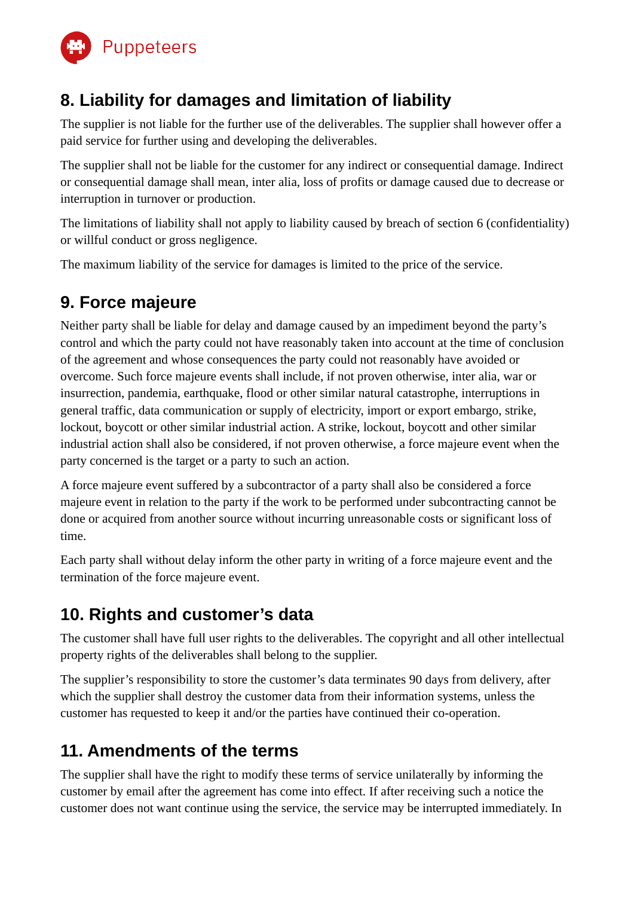

### **8. Liability for damages and limitation of liability**

The supplier is not liable for the further use of the deliverables. The supplier shall however offer a paid service for further using and developing the deliverables.

The supplier shall not be liable for the customer for any indirect or consequential damage. Indirect or consequential damage shall mean, inter alia, loss of profits or damage caused due to decrease or interruption in turnover or production.

The limitations of liability shall not apply to liability caused by breach of section 6 (confidentiality) or willful conduct or gross negligence.

The maximum liability of the service for damages is limited to the price of the service.

### **9. Force majeure**

Neither party shall be liable for delay and damage caused by an impediment beyond the party's control and which the party could not have reasonably taken into account at the time of conclusion of the agreement and whose consequences the party could not reasonably have avoided or overcome. Such force majeure events shall include, if not proven otherwise, inter alia, war or insurrection, pandemia, earthquake, flood or other similar natural catastrophe, interruptions in general traffic, data communication or supply of electricity, import or export embargo, strike, lockout, boycott or other similar industrial action. A strike, lockout, boycott and other similar industrial action shall also be considered, if not proven otherwise, a force majeure event when the party concerned is the target or a party to such an action.

A force majeure event suffered by a subcontractor of a party shall also be considered a force majeure event in relation to the party if the work to be performed under subcontracting cannot be done or acquired from another source without incurring unreasonable costs or significant loss of time.

Each party shall without delay inform the other party in writing of a force majeure event and the termination of the force majeure event.

#### **10. Rights and customer's data**

The customer shall have full user rights to the deliverables. The copyright and all other intellectual property rights of the deliverables shall belong to the supplier.

The supplier's responsibility to store the customer's data terminates 90 days from delivery, after which the supplier shall destroy the customer data from their information systems, unless the customer has requested to keep it and/or the parties have continued their co-operation.

## **11. Amendments of the terms**

The supplier shall have the right to modify these terms of service unilaterally by informing the customer by email after the agreement has come into effect. If after receiving such a notice the customer does not want continue using the service, the service may be interrupted immediately. In